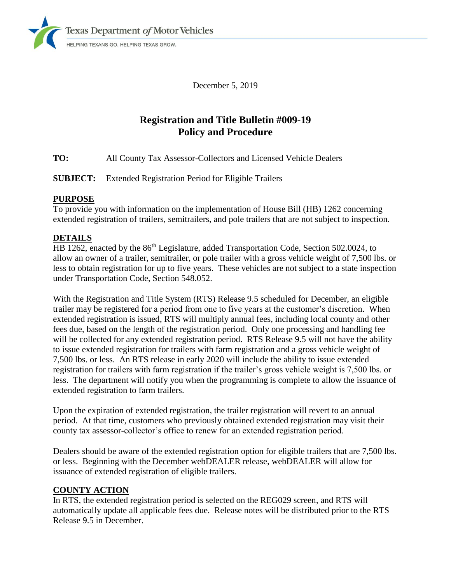

December 5, 2019

# **Registration and Title Bulletin #009-19 Policy and Procedure**

**TO:** All County Tax Assessor-Collectors and Licensed Vehicle Dealers

**SUBJECT:** Extended Registration Period for Eligible Trailers

#### **PURPOSE**

To provide you with information on the implementation of House Bill (HB) 1262 concerning extended registration of trailers, semitrailers, and pole trailers that are not subject to inspection.

## **DETAILS**

HB 1262, enacted by the 86<sup>th</sup> Legislature, added Transportation Code, Section 502.0024, to allow an owner of a trailer, semitrailer, or pole trailer with a gross vehicle weight of 7,500 lbs. or less to obtain registration for up to five years. These vehicles are not subject to a state inspection under Transportation Code, Section 548.052.

With the Registration and Title System (RTS) Release 9.5 scheduled for December, an eligible trailer may be registered for a period from one to five years at the customer's discretion. When extended registration is issued, RTS will multiply annual fees, including local county and other fees due, based on the length of the registration period. Only one processing and handling fee will be collected for any extended registration period. RTS Release 9.5 will not have the ability to issue extended registration for trailers with farm registration and a gross vehicle weight of 7,500 lbs. or less. An RTS release in early 2020 will include the ability to issue extended registration for trailers with farm registration if the trailer's gross vehicle weight is 7,500 lbs. or less. The department will notify you when the programming is complete to allow the issuance of extended registration to farm trailers.

Upon the expiration of extended registration, the trailer registration will revert to an annual period. At that time, customers who previously obtained extended registration may visit their county tax assessor-collector's office to renew for an extended registration period.

Dealers should be aware of the extended registration option for eligible trailers that are 7,500 lbs. or less. Beginning with the December webDEALER release, webDEALER will allow for issuance of extended registration of eligible trailers.

## **COUNTY ACTION**

In RTS, the extended registration period is selected on the REG029 screen, and RTS will automatically update all applicable fees due. Release notes will be distributed prior to the RTS Release 9.5 in December.